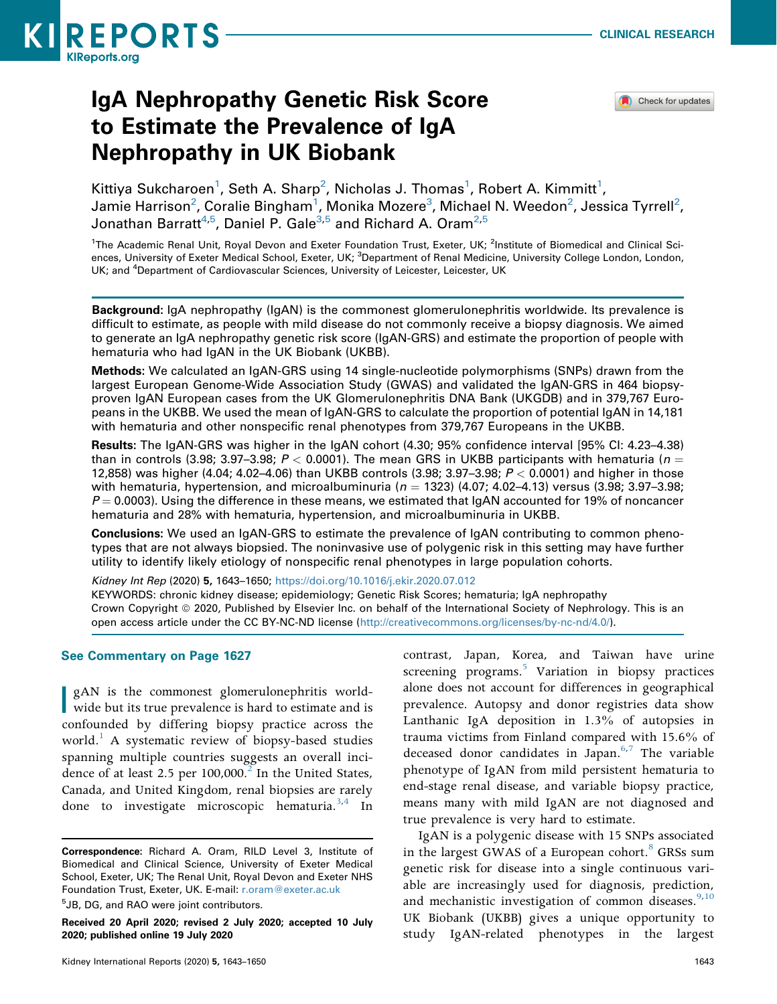

Check for updates

# IgA Nephropathy Genetic Risk Score to Estimate the Prevalence of IgA Nephropathy in UK Biobank

Kittiya Sukcharoen<sup>[1](#page-0-0)</sup>, Seth A. Sharp<sup>2</sup>, Nicholas J. Thomas<sup>1</sup>, Robert A. Kimmitt<sup>1</sup>, Jamie Harrison $^2$  $^2$ , Coralie Bingham $^1$  $^1$ , Monika Mozere $^3$ , Michael N. Weedon $^2$ , Jessica Tyrrell $^2$ , Jonathan Barratt<sup>[4](#page-0-2)[,5](#page-0-3)</sup>, Daniel P. Gale<sup>3,[5](#page-0-3)</sup> and Richard A. Oram<sup>2,5</sup>

<span id="page-0-2"></span><span id="page-0-1"></span><span id="page-0-0"></span><sup>1</sup>The Academic Renal Unit, Royal Devon and Exeter Foundation Trust, Exeter, UK; <sup>2</sup>Institute of Biomedical and Clinical Sciences, University of Exeter Medical School, Exeter, UK; <sup>3</sup>Department of Renal Medicine, University College London, London, UK; and <sup>4</sup>Department of Cardiovascular Sciences, University of Leicester, Leicester, UK

Background: IgA nephropathy (IgAN) is the commonest glomerulonephritis worldwide. Its prevalence is difficult to estimate, as people with mild disease do not commonly receive a biopsy diagnosis. We aimed to generate an IgA nephropathy genetic risk score (IgAN-GRS) and estimate the proportion of people with hematuria who had IgAN in the UK Biobank (UKBB).

Methods: We calculated an IgAN-GRS using 14 single-nucleotide polymorphisms (SNPs) drawn from the largest European Genome-Wide Association Study (GWAS) and validated the IgAN-GRS in 464 biopsyproven IgAN European cases from the UK Glomerulonephritis DNA Bank (UKGDB) and in 379,767 Europeans in the UKBB. We used the mean of IgAN-GRS to calculate the proportion of potential IgAN in 14,181 with hematuria and other nonspecific renal phenotypes from 379,767 Europeans in the UKBB.

Results: The IgAN-GRS was higher in the IgAN cohort (4.30; 95% confidence interval [95% CI: 4.23–4.38) than in controls (3.98; 3.97–3.98;  $P < 0.0001$ ). The mean GRS in UKBB participants with hematuria ( $n =$ 12,858) was higher (4.04; 4.02–4.06) than UKBB controls (3.98; 3.97–3.98;  $P < 0.0001$ ) and higher in those with hematuria, hypertension, and microalbuminuria ( $n = 1323$ ) (4.07; 4.02–4.13) versus (3.98; 3.97–3.98;  $P = 0.0003$ . Using the difference in these means, we estimated that IgAN accounted for 19% of noncancer hematuria and 28% with hematuria, hypertension, and microalbuminuria in UKBB.

Conclusions: We used an IgAN-GRS to estimate the prevalence of IgAN contributing to common phenotypes that are not always biopsied. The noninvasive use of polygenic risk in this setting may have further utility to identify likely etiology of nonspecific renal phenotypes in large population cohorts.

Kidney Int Rep (2020) 5, 1643–1650; <https://doi.org/10.1016/j.ekir.2020.07.012> KEYWORDS: chronic kidney disease; epidemiology; Genetic Risk Scores; hematuria; IgA nephropathy Crown Copyright © 2020, Published by Elsevier Inc. on behalf of the International Society of Nephrology. This is an open access article under the CC BY-NC-ND license ([http://creativecommons.org/licenses/by-nc-nd/4.0/\)](http://creativecommons.org/licenses/by-nc-nd/4.0/).

#### See Commentary on Page 1627

**I** gAN is the commonest glomerulonephritis worldwide but its true prevalence is hard to estimate and is confounded by differing biopsy practice across the world.<sup>[1](#page-6-0)</sup> A systematic review of biopsy-based studies spanning multiple countries suggests an overall incidence of at least 2.5 per  $100,000$ .<sup>2</sup> In the United States, Canada, and United Kingdom, renal biopsies are rarely done to investigate microscopic hematuria.<sup>3,[4](#page-6-3)</sup> In

<span id="page-0-3"></span><sup>5</sup>JB, DG, and RAO were joint contributors.

contrast, Japan, Korea, and Taiwan have urine screening programs.<sup>[5](#page-6-4)</sup> Variation in biopsy practices alone does not account for differences in geographical prevalence. Autopsy and donor registries data show Lanthanic IgA deposition in 1.3% of autopsies in trauma victims from Finland compared with 15.6% of deceased donor candidates in Japan. $6,7$  $6,7$  The variable phenotype of IgAN from mild persistent hematuria to end-stage renal disease, and variable biopsy practice, means many with mild IgAN are not diagnosed and true prevalence is very hard to estimate.

<span id="page-0-4"></span>IgAN is a polygenic disease with 15 SNPs associated in the largest GWAS of a European cohort.<sup>[8](#page-6-7)</sup> GRSs sum genetic risk for disease into a single continuous variable are increasingly used for diagnosis, prediction, and mechanistic investigation of common diseases. $9,10$  $9,10$ UK Biobank (UKBB) gives a unique opportunity to study IgAN-related phenotypes in the largest

Correspondence: Richard A. Oram, RILD Level 3, Institute of Biomedical and Clinical Science, University of Exeter Medical School, Exeter, UK; The Renal Unit, Royal Devon and Exeter NHS Foundation Trust, Exeter, UK. E-mail: [r.oram@exeter.ac.uk](mailto:r.oram@exeter.ac.uk)

Received 20 April 2020; revised 2 July 2020; accepted 10 July 2020; published online 19 July 2020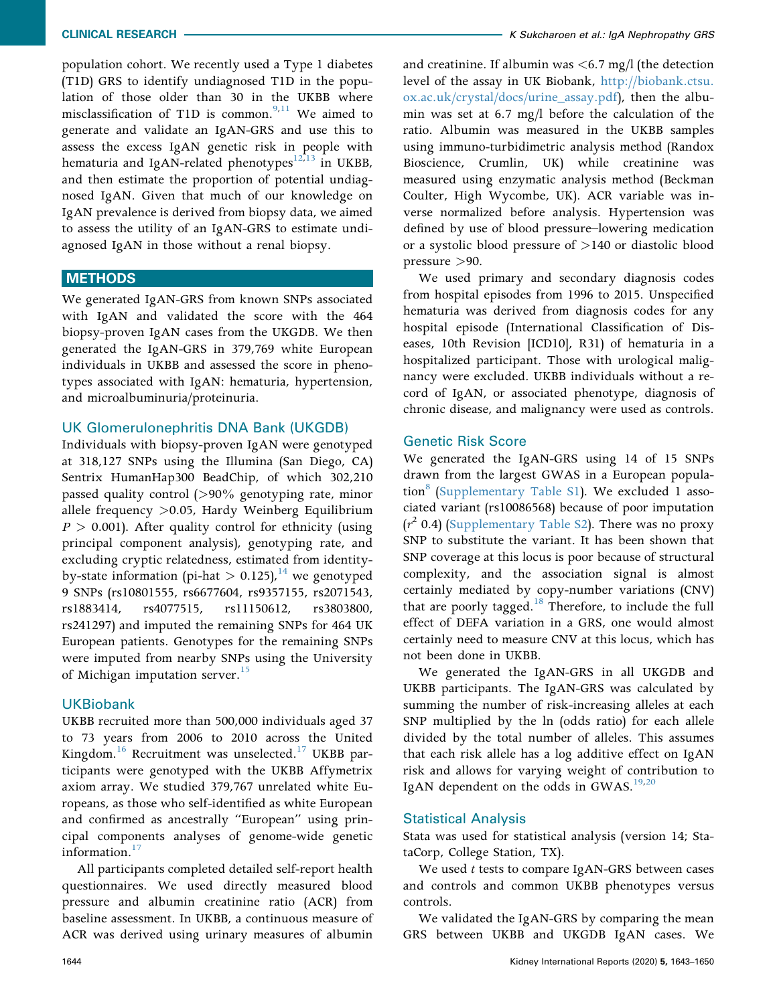population cohort. We recently used a Type 1 diabetes (T1D) GRS to identify undiagnosed T1D in the population of those older than 30 in the UKBB where misclassification of T1D is common.<sup>[9,](#page-6-8)[11](#page-6-10)</sup> We aimed to generate and validate an IgAN-GRS and use this to assess the excess IgAN genetic risk in people with hematuria and IgAN-related phenotypes<sup>[12,](#page-6-11)[13](#page-6-12)</sup> in UKBB, and then estimate the proportion of potential undiagnosed IgAN. Given that much of our knowledge on IgAN prevalence is derived from biopsy data, we aimed to assess the utility of an IgAN-GRS to estimate undiagnosed IgAN in those without a renal biopsy.

# METHODS

We generated IgAN-GRS from known SNPs associated with IgAN and validated the score with the 464 biopsy-proven IgAN cases from the UKGDB. We then generated the IgAN-GRS in 379,769 white European individuals in UKBB and assessed the score in phenotypes associated with IgAN: hematuria, hypertension, and microalbuminuria/proteinuria.

## UK Glomerulonephritis DNA Bank (UKGDB)

Individuals with biopsy-proven IgAN were genotyped at 318,127 SNPs using the Illumina (San Diego, CA) Sentrix HumanHap300 BeadChip, of which 302,210 passed quality control (>90% genotyping rate, minor allele frequency >0.05, Hardy Weinberg Equilibrium  $P > 0.001$ ). After quality control for ethnicity (using principal component analysis), genotyping rate, and excluding cryptic relatedness, estimated from identityby-state information (pi-hat  $> 0.125$ ), <sup>[14](#page-6-13)</sup> we genotyped 9 SNPs (rs10801555, rs6677604, rs9357155, rs2071543, rs1883414, rs4077515, rs11150612, rs3803800, rs241297) and imputed the remaining SNPs for 464 UK European patients. Genotypes for the remaining SNPs were imputed from nearby SNPs using the University of Michigan imputation server.<sup>15</sup>

#### UKBiobank

UKBB recruited more than 500,000 individuals aged 37 to 73 years from 2006 to 2010 across the United Kingdom. $16$  Recruitment was unselected.<sup>[17](#page-6-16)</sup> UKBB participants were genotyped with the UKBB Affymetrix axiom array. We studied 379,767 unrelated white Europeans, as those who self-identified as white European and confirmed as ancestrally "European" using principal components analyses of genome-wide genetic information.<sup>[17](#page-6-16)</sup>

All participants completed detailed self-report health questionnaires. We used directly measured blood pressure and albumin creatinine ratio (ACR) from baseline assessment. In UKBB, a continuous measure of ACR was derived using urinary measures of albumin

and creatinine. If albumin was  $\lt 6.7$  mg/l (the detection level of the assay in UK Biobank, [http://biobank.ctsu.](http://biobank.ctsu.ox.ac.uk/crystal/docs/urine_assay.pdf) [ox.ac.uk/crystal/docs/urine\\_assay.pdf\)](http://biobank.ctsu.ox.ac.uk/crystal/docs/urine_assay.pdf), then the albumin was set at 6.7 mg/l before the calculation of the ratio. Albumin was measured in the UKBB samples using immuno-turbidimetric analysis method (Randox Bioscience, Crumlin, UK) while creatinine was measured using enzymatic analysis method (Beckman Coulter, High Wycombe, UK). ACR variable was inverse normalized before analysis. Hypertension was defined by use of blood pressure–lowering medication or a systolic blood pressure of >140 or diastolic blood pressure >90.

We used primary and secondary diagnosis codes from hospital episodes from 1996 to 2015. Unspecified hematuria was derived from diagnosis codes for any hospital episode (International Classification of Diseases, 10th Revision [ICD10], R31) of hematuria in a hospitalized participant. Those with urological malignancy were excluded. UKBB individuals without a record of IgAN, or associated phenotype, diagnosis of chronic disease, and malignancy were used as controls.

## Genetic Risk Score

We generated the IgAN-GRS using 14 of 15 SNPs drawn from the largest GWAS in a European population $^{\circ}$  ([Supplementary Table S1](#page-0-4)). We excluded 1 associated variant (rs10086568) because of poor imputation  $(r^2)$  0.4) ([Supplementary Table S2](#page-0-4)). There was no proxy SNP to substitute the variant. It has been shown that SNP coverage at this locus is poor because of structural complexity, and the association signal is almost certainly mediated by copy-number variations (CNV) that are poorly tagged. $18$  Therefore, to include the full effect of DEFA variation in a GRS, one would almost certainly need to measure CNV at this locus, which has not been done in UKBB.

We generated the IgAN-GRS in all UKGDB and UKBB participants. The IgAN-GRS was calculated by summing the number of risk-increasing alleles at each SNP multiplied by the ln (odds ratio) for each allele divided by the total number of alleles. This assumes that each risk allele has a log additive effect on IgAN risk and allows for varying weight of contribution to IgAN dependent on the odds in GWAS. $19,20$  $19,20$ 

# Statistical Analysis

Stata was used for statistical analysis (version 14; StataCorp, College Station, TX).

We used  $t$  tests to compare IgAN-GRS between cases and controls and common UKBB phenotypes versus controls.

We validated the IgAN-GRS by comparing the mean GRS between UKBB and UKGDB IgAN cases. We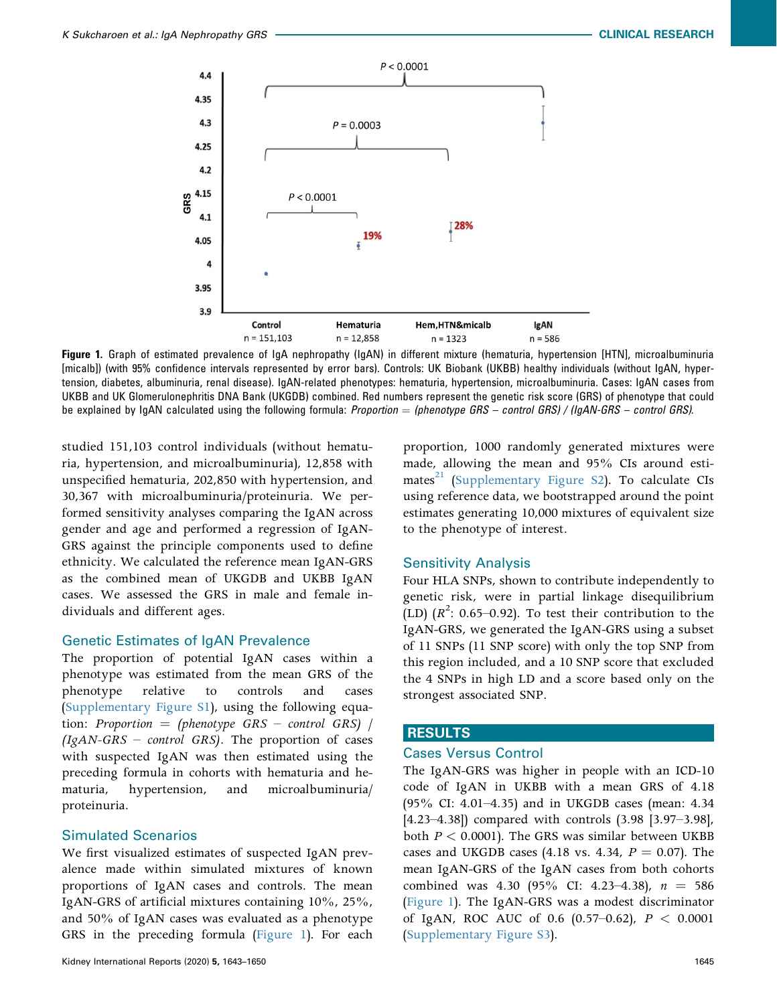<span id="page-2-0"></span>

Figure 1. Graph of estimated prevalence of IgA nephropathy (IgAN) in different mixture (hematuria, hypertension [HTN], microalbuminuria [micalb]) (with 95% confidence intervals represented by error bars). Controls: UK Biobank (UKBB) healthy individuals (without IgAN, hypertension, diabetes, albuminuria, renal disease). IgAN-related phenotypes: hematuria, hypertension, microalbuminuria. Cases: IgAN cases from UKBB and UK Glomerulonephritis DNA Bank (UKGDB) combined. Red numbers represent the genetic risk score (GRS) of phenotype that could be explained by IgAN calculated using the following formula: Proportion  $=$  (phenotype GRS – control GRS) / (IgAN-GRS – control GRS).

studied 151,103 control individuals (without hematuria, hypertension, and microalbuminuria), 12,858 with unspecified hematuria, 202,850 with hypertension, and 30,367 with microalbuminuria/proteinuria. We performed sensitivity analyses comparing the IgAN across gender and age and performed a regression of IgAN-GRS against the principle components used to define ethnicity. We calculated the reference mean IgAN-GRS as the combined mean of UKGDB and UKBB IgAN cases. We assessed the GRS in male and female individuals and different ages.

# Genetic Estimates of IgAN Prevalence

The proportion of potential IgAN cases within a phenotype was estimated from the mean GRS of the phenotype relative to controls and cases ([Supplementary Figure S1\)](#page-0-4), using the following equation: Proportion = (phenotype  $GRS$  – control  $GRS$ ) /  $(IgAN-GRS - control GRS)$ . The proportion of cases with suspected IgAN was then estimated using the preceding formula in cohorts with hematuria and hematuria, hypertension, and microalbuminuria/ proteinuria.

### Simulated Scenarios

We first visualized estimates of suspected IgAN prevalence made within simulated mixtures of known proportions of IgAN cases and controls. The mean IgAN-GRS of artificial mixtures containing 10%, 25%, and 50% of IgAN cases was evaluated as a phenotype GRS in the preceding formula [\(Figure 1\)](#page-2-0). For each

proportion, 1000 randomly generated mixtures were made, allowing the mean and 95% CIs around estimates $^{21}$  $^{21}$  $^{21}$  [\(Supplementary Figure S2](#page-0-4)). To calculate CIs using reference data, we bootstrapped around the point estimates generating 10,000 mixtures of equivalent size to the phenotype of interest.

#### Sensitivity Analysis

Four HLA SNPs, shown to contribute independently to genetic risk, were in partial linkage disequilibrium  $\text{(LD)}$   $(R^2: 0.65-0.92)$ . To test their contribution to the IgAN-GRS, we generated the IgAN-GRS using a subset of 11 SNPs (11 SNP score) with only the top SNP from this region included, and a 10 SNP score that excluded the 4 SNPs in high LD and a score based only on the strongest associated SNP.

# RESULTS

# Cases Versus Control

The IgAN-GRS was higher in people with an ICD-10 code of IgAN in UKBB with a mean GRS of 4.18 (95% CI: 4.01–4.35) and in UKGDB cases (mean: 4.34 [4.23–4.38]) compared with controls (3.98 [3.97–3.98], both  $P < 0.0001$ ). The GRS was similar between UKBB cases and UKGDB cases (4.18 vs. 4.34,  $P = 0.07$ ). The mean IgAN-GRS of the IgAN cases from both cohorts combined was 4.30 (95% CI: 4.23-4.38),  $n = 586$ ([Figure 1\)](#page-2-0). The IgAN-GRS was a modest discriminator of IgAN, ROC AUC of 0.6  $(0.57-0.62)$ ,  $P < 0.0001$ ([Supplementary Figure S3\)](#page-0-4).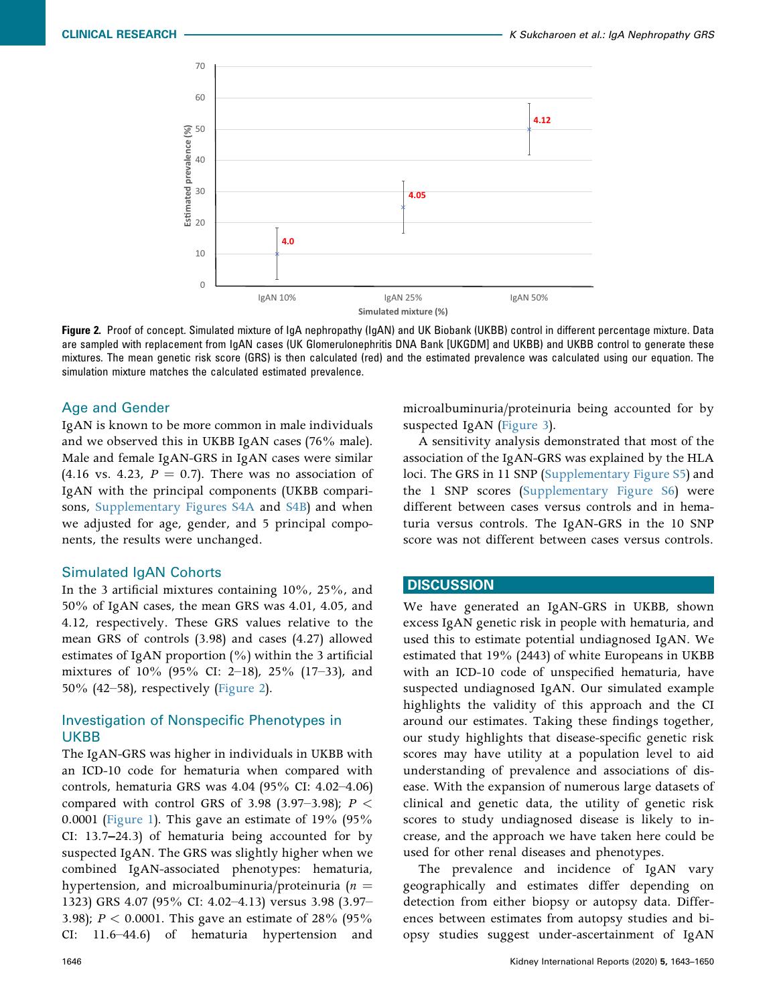<span id="page-3-0"></span>

Figure 2. Proof of concept. Simulated mixture of IgA nephropathy (IgAN) and UK Biobank (UKBB) control in different percentage mixture. Data are sampled with replacement from IgAN cases (UK Glomerulonephritis DNA Bank [UKGDM] and UKBB) and UKBB control to generate these mixtures. The mean genetic risk score (GRS) is then calculated (red) and the estimated prevalence was calculated using our equation. The simulation mixture matches the calculated estimated prevalence.

# Age and Gender

IgAN is known to be more common in male individuals and we observed this in UKBB IgAN cases (76% male). Male and female IgAN-GRS in IgAN cases were similar (4.16 vs. 4.23,  $P = 0.7$ ). There was no association of IgAN with the principal components (UKBB comparisons, [Supplementary Figures S4A](#page-0-4) and [S4B\)](#page-0-4) and when we adjusted for age, gender, and 5 principal components, the results were unchanged.

# Simulated IgAN Cohorts

In the 3 artificial mixtures containing 10%, 25%, and 50% of IgAN cases, the mean GRS was 4.01, 4.05, and 4.12, respectively. These GRS values relative to the mean GRS of controls (3.98) and cases (4.27) allowed estimates of IgAN proportion  $(\%)$  within the 3 artificial mixtures of 10% (95% CI: 2–18), 25% (17–33), and 50% (42–58), respectively [\(Figure 2](#page-3-0)).

# Investigation of Nonspecific Phenotypes in UKBB

The IgAN-GRS was higher in individuals in UKBB with an ICD-10 code for hematuria when compared with controls, hematuria GRS was 4.04 (95% CI: 4.02–4.06) compared with control GRS of 3.98 (3.97–3.98);  $P <$ 0.0001 [\(Figure 1](#page-2-0)). This gave an estimate of  $19\%$  (95%) CI: 13.7–24.3) of hematuria being accounted for by suspected IgAN. The GRS was slightly higher when we combined IgAN-associated phenotypes: hematuria, hypertension, and microalbuminuria/proteinuria ( $n =$ 1323) GRS 4.07 (95% CI: 4.02–4.13) versus 3.98 (3.97– 3.98);  $P < 0.0001$ . This gave an estimate of 28% (95% CI: 11.6–44.6) of hematuria hypertension and 11.6–44.6) of hematuria hypertension and microalbuminuria/proteinuria being accounted for by suspected IgAN ([Figure 3\)](#page-4-0).

A sensitivity analysis demonstrated that most of the association of the IgAN-GRS was explained by the HLA loci. The GRS in 11 SNP ([Supplementary Figure S5\)](#page-0-4) and the 1 SNP scores [\(Supplementary Figure S6\)](#page-0-4) were different between cases versus controls and in hematuria versus controls. The IgAN-GRS in the 10 SNP score was not different between cases versus controls.

# **DISCUSSION**

We have generated an IgAN-GRS in UKBB, shown excess IgAN genetic risk in people with hematuria, and used this to estimate potential undiagnosed IgAN. We estimated that 19% (2443) of white Europeans in UKBB with an ICD-10 code of unspecified hematuria, have suspected undiagnosed IgAN. Our simulated example highlights the validity of this approach and the CI around our estimates. Taking these findings together, our study highlights that disease-specific genetic risk scores may have utility at a population level to aid understanding of prevalence and associations of disease. With the expansion of numerous large datasets of clinical and genetic data, the utility of genetic risk scores to study undiagnosed disease is likely to increase, and the approach we have taken here could be used for other renal diseases and phenotypes.

The prevalence and incidence of IgAN vary geographically and estimates differ depending on detection from either biopsy or autopsy data. Differences between estimates from autopsy studies and biopsy studies suggest under-ascertainment of IgAN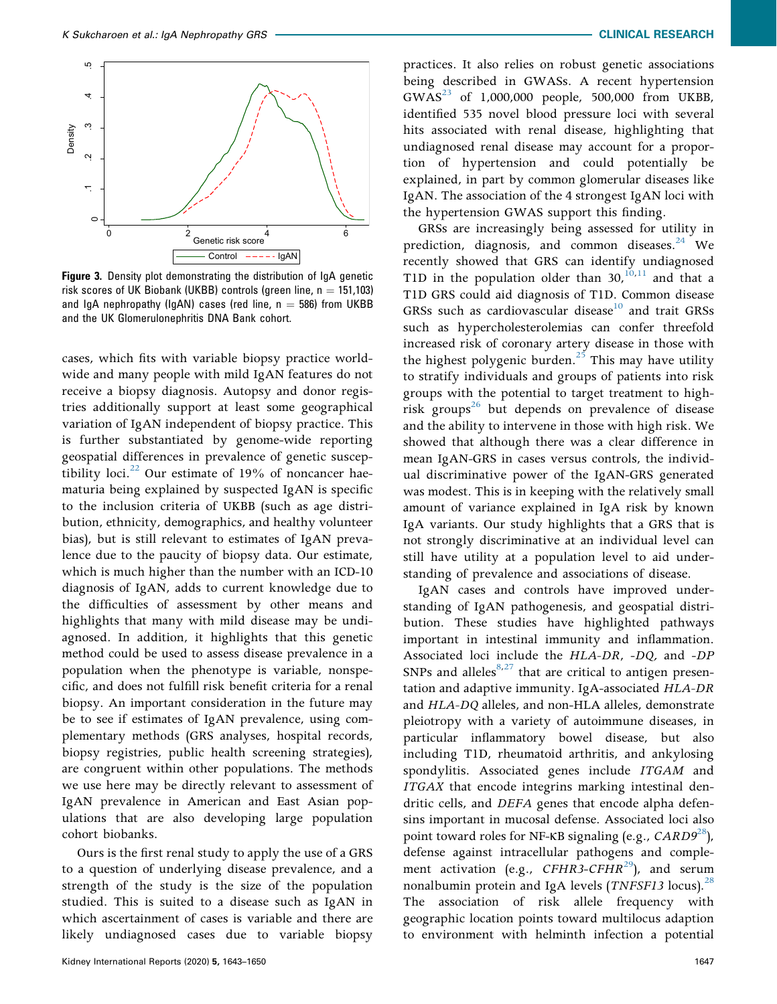<span id="page-4-0"></span>

Figure 3. Density plot demonstrating the distribution of IgA genetic risk scores of UK Biobank (UKBB) controls (green line,  $n = 151,103$ ) and IgA nephropathy (IgAN) cases (red line,  $n = 586$ ) from UKBB and the UK Glomerulonephritis DNA Bank cohort.

cases, which fits with variable biopsy practice worldwide and many people with mild IgAN features do not receive a biopsy diagnosis. Autopsy and donor registries additionally support at least some geographical variation of IgAN independent of biopsy practice. This is further substantiated by genome-wide reporting geospatial differences in prevalence of genetic susceptibility loci. $^{22}$  Our estimate of 19% of noncancer haematuria being explained by suspected IgAN is specific to the inclusion criteria of UKBB (such as age distribution, ethnicity, demographics, and healthy volunteer bias), but is still relevant to estimates of IgAN prevalence due to the paucity of biopsy data. Our estimate, which is much higher than the number with an ICD-10 diagnosis of IgAN, adds to current knowledge due to the difficulties of assessment by other means and highlights that many with mild disease may be undiagnosed. In addition, it highlights that this genetic method could be used to assess disease prevalence in a population when the phenotype is variable, nonspecific, and does not fulfill risk benefit criteria for a renal biopsy. An important consideration in the future may be to see if estimates of IgAN prevalence, using complementary methods (GRS analyses, hospital records, biopsy registries, public health screening strategies), are congruent within other populations. The methods we use here may be directly relevant to assessment of IgAN prevalence in American and East Asian populations that are also developing large population cohort biobanks.

Ours is the first renal study to apply the use of a GRS to a question of underlying disease prevalence, and a strength of the study is the size of the population studied. This is suited to a disease such as IgAN in which ascertainment of cases is variable and there are likely undiagnosed cases due to variable biopsy

practices. It also relies on robust genetic associations being described in GWASs. A recent hypertension  $GWAS^{23}$  $GWAS^{23}$  $GWAS^{23}$  of 1,000,000 people, 500,000 from UKBB, identified 535 novel blood pressure loci with several hits associated with renal disease, highlighting that undiagnosed renal disease may account for a proportion of hypertension and could potentially be explained, in part by common glomerular diseases like IgAN. The association of the 4 strongest IgAN loci with the hypertension GWAS support this finding.

GRSs are increasingly being assessed for utility in prediction, diagnosis, and common diseases.<sup>[24](#page-6-23)</sup> We recently showed that GRS can identify undiagnosed T1D in the population older than  $30^{10,11}$  $30^{10,11}$  $30^{10,11}$  and that a T1D GRS could aid diagnosis of T1D. Common disease GRSs such as cardiovascular disease<sup>[10](#page-6-9)</sup> and trait GRSs such as hypercholesterolemias can confer threefold increased risk of coronary artery disease in those with the highest polygenic burden.<sup>[25](#page-6-24)</sup> This may have utility to stratify individuals and groups of patients into risk groups with the potential to target treatment to highrisk groups<sup>26</sup> but depends on prevalence of disease and the ability to intervene in those with high risk. We showed that although there was a clear difference in mean IgAN-GRS in cases versus controls, the individual discriminative power of the IgAN-GRS generated was modest. This is in keeping with the relatively small amount of variance explained in IgA risk by known IgA variants. Our study highlights that a GRS that is not strongly discriminative at an individual level can still have utility at a population level to aid understanding of prevalence and associations of disease.

IgAN cases and controls have improved understanding of IgAN pathogenesis, and geospatial distribution. These studies have highlighted pathways important in intestinal immunity and inflammation. Associated loci include the HLA-DR, -DQ, and -DP SNPs and alleles $8,27$  $8,27$  that are critical to antigen presentation and adaptive immunity. IgA-associated HLA-DR and HLA-DQ alleles, and non-HLA alleles, demonstrate pleiotropy with a variety of autoimmune diseases, in particular inflammatory bowel disease, but also including T1D, rheumatoid arthritis, and ankylosing spondylitis. Associated genes include ITGAM and ITGAX that encode integrins marking intestinal dendritic cells, and DEFA genes that encode alpha defensins important in mucosal defense. Associated loci also point toward roles for NF-KB signaling (e.g.,  $CARD9^{28}$ ), defense against intracellular pathogens and complement activation (e.g.,  $CFHR3-CFHR^{29}$  $CFHR3-CFHR^{29}$  $CFHR3-CFHR^{29}$ ), and serum nonalbumin protein and IgA levels (*TNFSF13* locus).<sup>[28](#page-7-1)</sup> The association of risk allele frequency with geographic location points toward multilocus adaption to environment with helminth infection a potential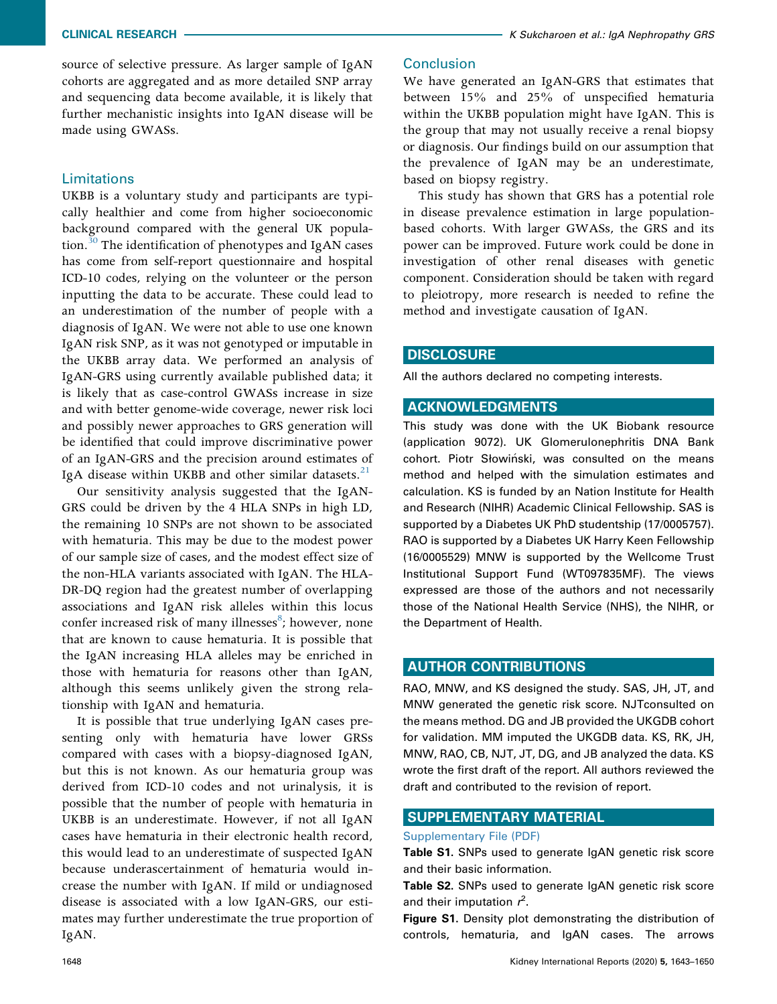source of selective pressure. As larger sample of IgAN cohorts are aggregated and as more detailed SNP array and sequencing data become available, it is likely that further mechanistic insights into IgAN disease will be made using GWASs.

# Limitations

UKBB is a voluntary study and participants are typically healthier and come from higher socioeconomic background compared with the general UK popula-tion.<sup>[30](#page-7-3)</sup> The identification of phenotypes and IgAN cases has come from self-report questionnaire and hospital ICD-10 codes, relying on the volunteer or the person inputting the data to be accurate. These could lead to an underestimation of the number of people with a diagnosis of IgAN. We were not able to use one known IgAN risk SNP, as it was not genotyped or imputable in the UKBB array data. We performed an analysis of IgAN-GRS using currently available published data; it is likely that as case-control GWASs increase in size and with better genome-wide coverage, newer risk loci and possibly newer approaches to GRS generation will be identified that could improve discriminative power of an IgAN-GRS and the precision around estimates of IgA disease within UKBB and other similar datasets. $^{21}$  $^{21}$  $^{21}$ 

Our sensitivity analysis suggested that the IgAN-GRS could be driven by the 4 HLA SNPs in high LD, the remaining 10 SNPs are not shown to be associated with hematuria. This may be due to the modest power of our sample size of cases, and the modest effect size of the non-HLA variants associated with IgAN. The HLA-DR-DQ region had the greatest number of overlapping associations and IgAN risk alleles within this locus confer increased risk of many illnesses<sup>[8](#page-6-7)</sup>; however, none that are known to cause hematuria. It is possible that the IgAN increasing HLA alleles may be enriched in those with hematuria for reasons other than IgAN, although this seems unlikely given the strong relationship with IgAN and hematuria.

It is possible that true underlying IgAN cases presenting only with hematuria have lower GRSs compared with cases with a biopsy-diagnosed IgAN, but this is not known. As our hematuria group was derived from ICD-10 codes and not urinalysis, it is possible that the number of people with hematuria in UKBB is an underestimate. However, if not all IgAN cases have hematuria in their electronic health record, this would lead to an underestimate of suspected IgAN because underascertainment of hematuria would increase the number with IgAN. If mild or undiagnosed disease is associated with a low IgAN-GRS, our estimates may further underestimate the true proportion of IgAN.

#### **Conclusion**

We have generated an IgAN-GRS that estimates that between 15% and 25% of unspecified hematuria within the UKBB population might have IgAN. This is the group that may not usually receive a renal biopsy or diagnosis. Our findings build on our assumption that the prevalence of IgAN may be an underestimate, based on biopsy registry.

This study has shown that GRS has a potential role in disease prevalence estimation in large populationbased cohorts. With larger GWASs, the GRS and its power can be improved. Future work could be done in investigation of other renal diseases with genetic component. Consideration should be taken with regard to pleiotropy, more research is needed to refine the method and investigate causation of IgAN.

## **DISCLOSURE**

All the authors declared no competing interests.

#### ACKNOWLEDGMENTS

This study was done with the UK Biobank resource (application 9072). UK Glomerulonephritis DNA Bank cohort. Piotr Słowiński, was consulted on the means method and helped with the simulation estimates and calculation. KS is funded by an Nation Institute for Health and Research (NIHR) Academic Clinical Fellowship. SAS is supported by a Diabetes UK PhD studentship (17/0005757). RAO is supported by a Diabetes UK Harry Keen Fellowship (16/0005529) MNW is supported by the Wellcome Trust Institutional Support Fund (WT097835MF). The views expressed are those of the authors and not necessarily those of the National Health Service (NHS), the NIHR, or the Department of Health.

#### AUTHOR CONTRIBUTIONS

RAO, MNW, and KS designed the study. SAS, JH, JT, and MNW generated the genetic risk score. NJTconsulted on the means method. DG and JB provided the UKGDB cohort for validation. MM imputed the UKGDB data. KS, RK, JH, MNW, RAO, CB, NJT, JT, DG, and JB analyzed the data. KS wrote the first draft of the report. All authors reviewed the draft and contributed to the revision of report.

#### SUPPLEMENTARY MATERIAL

#### [Supplementary File \(PDF\)](https://doi.org/10.1016/j.ekir.2020.07.012)

Table S1. SNPs used to generate IgAN genetic risk score and their basic information.

Table S2. SNPs used to generate IgAN genetic risk score and their imputation  $r^2$ .

Figure S1. Density plot demonstrating the distribution of controls, hematuria, and IgAN cases. The arrows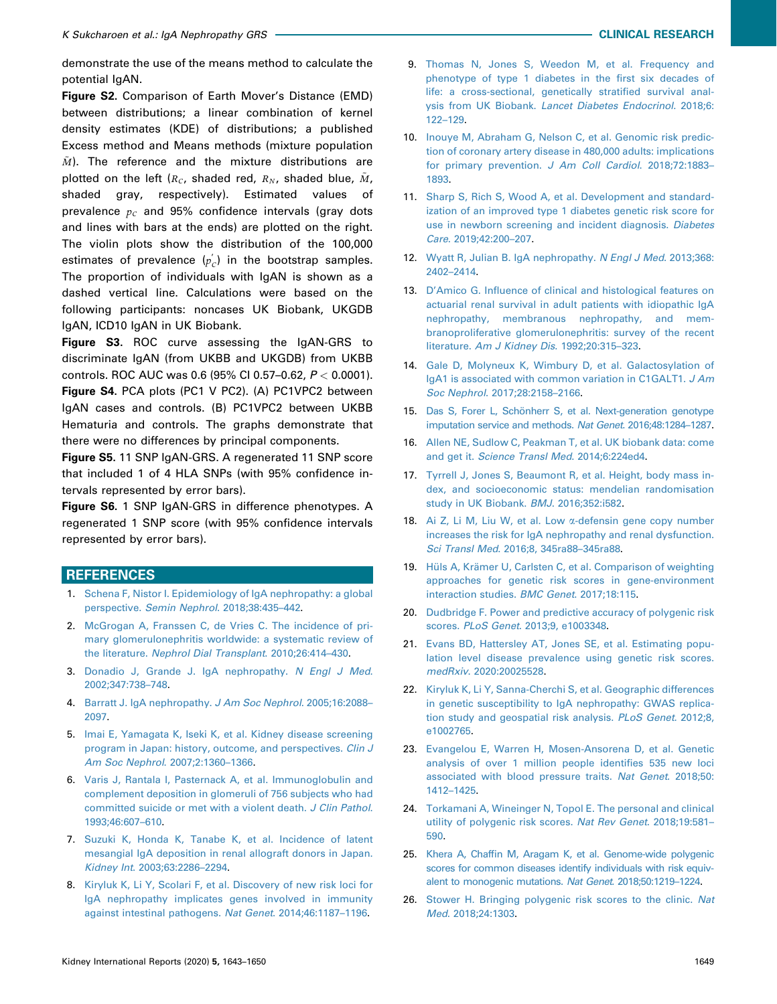demonstrate the use of the means method to calculate the potential IgAN.

Figure S2. Comparison of Earth Mover's Distance (EMD) between distributions; a linear combination of kernel density estimates (KDE) of distributions; a published Excess method and Means methods (mixture population  $\tilde{M}$ ). The reference and the mixture distributions are plotted on the left ( $R_c$ , shaded red,  $R_N$ , shaded blue,  $\tilde{M}$ , shaded gray, respectively). Estimated values of gray, respectively). Estimated values prevalence  $p_c$  and 95% confidence intervals (gray dots and lines with bars at the ends) are plotted on the right. The violin plots show the distribution of the 100,000 estimates of prevalence  $(p'_c)$  in the bootstrap samples. The proportion of individuals with IgAN is shown as a dashed vertical line. Calculations were based on the following participants: noncases UK Biobank, UKGDB IgAN, ICD10 IgAN in UK Biobank.

Figure S3. ROC curve assessing the IgAN-GRS to discriminate IgAN (from UKBB and UKGDB) from UKBB controls. ROC AUC was 0.6 (95% CI 0.57–0.62, P < 0.0001). Figure S4. PCA plots (PC1 V PC2). (A) PC1VPC2 between IgAN cases and controls. (B) PC1VPC2 between UKBB Hematuria and controls. The graphs demonstrate that there were no differences by principal components.

Figure S5. 11 SNP IgAN-GRS. A regenerated 11 SNP score that included 1 of 4 HLA SNPs (with 95% confidence intervals represented by error bars).

Figure S6. 1 SNP IgAN-GRS in difference phenotypes. A regenerated 1 SNP score (with 95% confidence intervals represented by error bars).

# **REFERENCES**

- <span id="page-6-0"></span>1. [Schena F, Nistor I. Epidemiology of IgA nephropathy: a global](http://refhub.elsevier.com/S2468-0249(20)31377-2/sref1) perspective. [Semin Nephrol](http://refhub.elsevier.com/S2468-0249(20)31377-2/sref1). 2018;38:435–442.
- <span id="page-6-1"></span>2. [McGrogan A, Franssen C, de Vries C. The incidence of pri](http://refhub.elsevier.com/S2468-0249(20)31377-2/sref2)[mary glomerulonephritis worldwide: a systematic review of](http://refhub.elsevier.com/S2468-0249(20)31377-2/sref2) the literature. [Nephrol Dial Transplant](http://refhub.elsevier.com/S2468-0249(20)31377-2/sref2). 2010;26:414–430.
- <span id="page-6-2"></span>3. [Donadio J, Grande J. IgA nephropathy.](http://refhub.elsevier.com/S2468-0249(20)31377-2/sref3) N Engl J Med. [2002;347:738](http://refhub.elsevier.com/S2468-0249(20)31377-2/sref3)–748.
- <span id="page-6-3"></span>4. [Barratt J. IgA nephropathy.](http://refhub.elsevier.com/S2468-0249(20)31377-2/sref4) J Am Soc Nephrol. 2005;16:2088-[2097](http://refhub.elsevier.com/S2468-0249(20)31377-2/sref4).
- <span id="page-6-4"></span>5. [Imai E, Yamagata K, Iseki K, et al. Kidney disease screening](http://refhub.elsevier.com/S2468-0249(20)31377-2/sref5) [program in Japan: history, outcome, and perspectives.](http://refhub.elsevier.com/S2468-0249(20)31377-2/sref5) Clin J [Am Soc Nephrol](http://refhub.elsevier.com/S2468-0249(20)31377-2/sref5). 2007;2:1360–1366.
- <span id="page-6-5"></span>6. [Varis J, Rantala I, Pasternack A, et al. Immunoglobulin and](http://refhub.elsevier.com/S2468-0249(20)31377-2/sref6) [complement deposition in glomeruli of 756 subjects who had](http://refhub.elsevier.com/S2468-0249(20)31377-2/sref6) [committed suicide or met with a violent death.](http://refhub.elsevier.com/S2468-0249(20)31377-2/sref6) J Clin Pathol. [1993;46:607](http://refhub.elsevier.com/S2468-0249(20)31377-2/sref6)–610.
- <span id="page-6-6"></span>7. [Suzuki K, Honda K, Tanabe K, et al. Incidence of latent](http://refhub.elsevier.com/S2468-0249(20)31377-2/sref7) [mesangial IgA deposition in renal allograft donors in Japan.](http://refhub.elsevier.com/S2468-0249(20)31377-2/sref7) Kidney Int[. 2003;63:2286](http://refhub.elsevier.com/S2468-0249(20)31377-2/sref7)–2294.
- <span id="page-6-7"></span>8. [Kiryluk K, Li Y, Scolari F, et al. Discovery of new risk loci for](http://refhub.elsevier.com/S2468-0249(20)31377-2/sref8) [IgA nephropathy implicates genes involved in immunity](http://refhub.elsevier.com/S2468-0249(20)31377-2/sref8) [against intestinal pathogens.](http://refhub.elsevier.com/S2468-0249(20)31377-2/sref8) Nat Genet. 2014;46:1187–1196.
- <span id="page-6-8"></span>9. [Thomas N, Jones S, Weedon M, et al. Frequency and](http://refhub.elsevier.com/S2468-0249(20)31377-2/sref9) [phenotype of type 1 diabetes in the](http://refhub.elsevier.com/S2468-0249(20)31377-2/sref9) first six decades of [life: a cross-sectional, genetically strati](http://refhub.elsevier.com/S2468-0249(20)31377-2/sref9)fied survival analysis from UK Biobank. [Lancet Diabetes Endocrinol](http://refhub.elsevier.com/S2468-0249(20)31377-2/sref9). 2018;6: 122–[129.](http://refhub.elsevier.com/S2468-0249(20)31377-2/sref9)
- <span id="page-6-9"></span>10. [Inouye M, Abraham G, Nelson C, et al. Genomic risk predic](http://refhub.elsevier.com/S2468-0249(20)31377-2/sref10)[tion of coronary artery disease in 480,000 adults: implications](http://refhub.elsevier.com/S2468-0249(20)31377-2/sref10) [for primary prevention.](http://refhub.elsevier.com/S2468-0249(20)31377-2/sref10) J Am Coll Cardiol. 2018;72:1883– [1893.](http://refhub.elsevier.com/S2468-0249(20)31377-2/sref10)
- <span id="page-6-10"></span>11. [Sharp S, Rich S, Wood A, et al. Development and standard](http://refhub.elsevier.com/S2468-0249(20)31377-2/sref11)[ization of an improved type 1 diabetes genetic risk score for](http://refhub.elsevier.com/S2468-0249(20)31377-2/sref11) [use in newborn screening and incident diagnosis.](http://refhub.elsevier.com/S2468-0249(20)31377-2/sref11) Diabetes Care[. 2019;42:200](http://refhub.elsevier.com/S2468-0249(20)31377-2/sref11)–207.
- <span id="page-6-11"></span>12. [Wyatt R, Julian B. IgA nephropathy.](http://refhub.elsevier.com/S2468-0249(20)31377-2/sref12) N Engl J Med. 2013;368: [2402](http://refhub.elsevier.com/S2468-0249(20)31377-2/sref12)–2414.
- <span id="page-6-12"></span>13. D'Amico G. Infl[uence of clinical and histological features on](http://refhub.elsevier.com/S2468-0249(20)31377-2/sref13) [actuarial renal survival in adult patients with idiopathic IgA](http://refhub.elsevier.com/S2468-0249(20)31377-2/sref13) [nephropathy, membranous nephropathy, and mem](http://refhub.elsevier.com/S2468-0249(20)31377-2/sref13)[branoproliferative glomerulonephritis: survey of the recent](http://refhub.elsevier.com/S2468-0249(20)31377-2/sref13) literature. [Am J Kidney Dis](http://refhub.elsevier.com/S2468-0249(20)31377-2/sref13). 1992;20:315–323.
- <span id="page-6-13"></span>14. [Gale D, Molyneux K, Wimbury D, et al. Galactosylation of](http://refhub.elsevier.com/S2468-0249(20)31377-2/sref14) [IgA1 is associated with common variation in C1GALT1.](http://refhub.elsevier.com/S2468-0249(20)31377-2/sref14) J Am Soc Nephrol[. 2017;28:2158](http://refhub.elsevier.com/S2468-0249(20)31377-2/sref14)–2166.
- <span id="page-6-14"></span>15. [Das S, Forer L, Schönherr S, et al. Next-generation genotype](http://refhub.elsevier.com/S2468-0249(20)31377-2/sref15) [imputation service and methods.](http://refhub.elsevier.com/S2468-0249(20)31377-2/sref15) Nat Genet. 2016;48:1284–1287.
- <span id="page-6-15"></span>16. [Allen NE, Sudlow C, Peakman T, et al. UK biobank data: come](http://refhub.elsevier.com/S2468-0249(20)31377-2/sref16) and get it. [Science Transl Med](http://refhub.elsevier.com/S2468-0249(20)31377-2/sref16). 2014;6:224ed4.
- <span id="page-6-16"></span>17. [Tyrrell J, Jones S, Beaumont R, et al. Height, body mass in](http://refhub.elsevier.com/S2468-0249(20)31377-2/sref17)[dex, and socioeconomic status: mendelian randomisation](http://refhub.elsevier.com/S2468-0249(20)31377-2/sref17) [study in UK Biobank.](http://refhub.elsevier.com/S2468-0249(20)31377-2/sref17) BMJ. 2016;352:i582.
- <span id="page-6-17"></span>18. Ai Z, Li M, Liu W, et al. Low a[-defensin gene copy number](http://refhub.elsevier.com/S2468-0249(20)31377-2/sref18) [increases the risk for IgA nephropathy and renal dysfunction.](http://refhub.elsevier.com/S2468-0249(20)31377-2/sref18) Sci Transl Med[. 2016;8, 345ra88](http://refhub.elsevier.com/S2468-0249(20)31377-2/sref18)–345ra88.
- <span id="page-6-18"></span>19. [Hüls A, Krämer U, Carlsten C, et al. Comparison of weighting](http://refhub.elsevier.com/S2468-0249(20)31377-2/sref19) [approaches for genetic risk scores in gene-environment](http://refhub.elsevier.com/S2468-0249(20)31377-2/sref19) [interaction studies.](http://refhub.elsevier.com/S2468-0249(20)31377-2/sref19) BMC Genet. 2017;18:115.
- <span id="page-6-19"></span>20. [Dudbridge F. Power and predictive accuracy of polygenic risk](http://refhub.elsevier.com/S2468-0249(20)31377-2/sref20) scores. PLoS Genet[. 2013;9, e1003348.](http://refhub.elsevier.com/S2468-0249(20)31377-2/sref20)
- <span id="page-6-20"></span>21. [Evans BD, Hattersley AT, Jones SE, et al. Estimating popu](http://refhub.elsevier.com/S2468-0249(20)31377-2/sref21)[lation level disease prevalence using genetic risk scores.](http://refhub.elsevier.com/S2468-0249(20)31377-2/sref21) medRxiv[. 2020:20025528](http://refhub.elsevier.com/S2468-0249(20)31377-2/sref21).
- <span id="page-6-21"></span>22. [Kiryluk K, Li Y, Sanna-Cherchi S, et al. Geographic differences](http://refhub.elsevier.com/S2468-0249(20)31377-2/sref22) [in genetic susceptibility to IgA nephropathy: GWAS replica](http://refhub.elsevier.com/S2468-0249(20)31377-2/sref22)[tion study and geospatial risk analysis.](http://refhub.elsevier.com/S2468-0249(20)31377-2/sref22) PLoS Genet. 2012;8, [e1002765](http://refhub.elsevier.com/S2468-0249(20)31377-2/sref22).
- <span id="page-6-22"></span>23. [Evangelou E, Warren H, Mosen-Ansorena D, et al. Genetic](http://refhub.elsevier.com/S2468-0249(20)31377-2/sref23) [analysis of over 1 million people identi](http://refhub.elsevier.com/S2468-0249(20)31377-2/sref23)fies 535 new loci [associated with blood pressure traits.](http://refhub.elsevier.com/S2468-0249(20)31377-2/sref23) Nat Genet. 2018;50: [1412](http://refhub.elsevier.com/S2468-0249(20)31377-2/sref23)–1425.
- <span id="page-6-23"></span>24. [Torkamani A, Wineinger N, Topol E. The personal and clinical](http://refhub.elsevier.com/S2468-0249(20)31377-2/sref24) [utility of polygenic risk scores.](http://refhub.elsevier.com/S2468-0249(20)31377-2/sref24) Nat Rev Genet. 2018;19:581-[590](http://refhub.elsevier.com/S2468-0249(20)31377-2/sref24).
- <span id="page-6-24"></span>25. Khera A, Chaffi[n M, Aragam K, et al. Genome-wide polygenic](http://refhub.elsevier.com/S2468-0249(20)31377-2/sref25) [scores for common diseases identify individuals with risk equiv](http://refhub.elsevier.com/S2468-0249(20)31377-2/sref25)[alent to monogenic mutations.](http://refhub.elsevier.com/S2468-0249(20)31377-2/sref25) Nat Genet. 2018;50:1219–1224.
- <span id="page-6-25"></span>26. [Stower H. Bringing polygenic risk scores to the clinic.](http://refhub.elsevier.com/S2468-0249(20)31377-2/sref26) Nat Med[. 2018;24:1303.](http://refhub.elsevier.com/S2468-0249(20)31377-2/sref26)